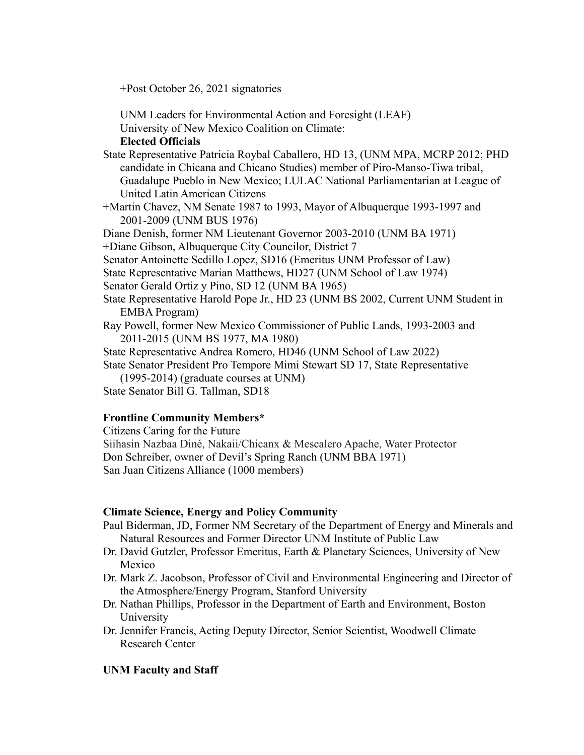+Post October 26, 2021 signatories

UNM Leaders for Environmental Action and Foresight (LEAF) University of New Mexico Coalition on Climate:

**Elected Officials**

State Representative Patricia Roybal Caballero, HD 13, (UNM MPA, MCRP 2012; PHD candidate in Chicana and Chicano Studies) member of Piro-Manso-Tiwa tribal, Guadalupe Pueblo in New Mexico; LULAC National Parliamentarian at League of United Latin American Citizens

+Martin Chavez, NM Senate 1987 to 1993, Mayor of Albuquerque 1993-1997 and 2001-2009 (UNM BUS 1976)

Diane Denish, former NM Lieutenant Governor 2003-2010 (UNM BA 1971)

+Diane Gibson, Albuquerque City Councilor, District 7

- Senator Antoinette Sedillo Lopez, SD16 (Emeritus UNM Professor of Law)
- State Representative Marian Matthews, HD27 (UNM School of Law 1974)

Senator Gerald Ortiz y Pino, SD 12 (UNM BA 1965)

- State Representative Harold Pope Jr., HD 23 (UNM BS 2002, Current UNM Student in EMBA Program)
- Ray Powell, former New Mexico Commissioner of Public Lands, 1993-2003 and 2011-2015 (UNM BS 1977, MA 1980)
- State Representative Andrea Romero, HD46 (UNM School of Law 2022)

State Senator President Pro Tempore Mimi Stewart SD 17, State Representative (1995-2014) (graduate courses at UNM)

State Senator Bill G. Tallman, SD18

# **Frontline Community Members\***

Citizens Caring for the Future Siihasin Nazbaa Diné, Nakaii/Chicanx & Mescalero Apache, Water Protector Don Schreiber, owner of Devil's Spring Ranch (UNM BBA 1971) San Juan Citizens Alliance (1000 members)

# **Climate Science, Energy and Policy Community**

- Paul Biderman, JD, Former NM Secretary of the Department of Energy and Minerals and Natural Resources and Former Director UNM Institute of Public Law
- Dr. David Gutzler, Professor Emeritus, Earth & Planetary Sciences, University of New Mexico
- Dr. Mark Z. Jacobson, Professor of Civil and Environmental Engineering and Director of the Atmosphere/Energy Program, Stanford University
- Dr. Nathan Phillips, Professor in the Department of Earth and Environment, Boston University
- Dr. Jennifer Francis, Acting Deputy Director, Senior Scientist, Woodwell Climate Research Center

# **UNM Faculty and Staff**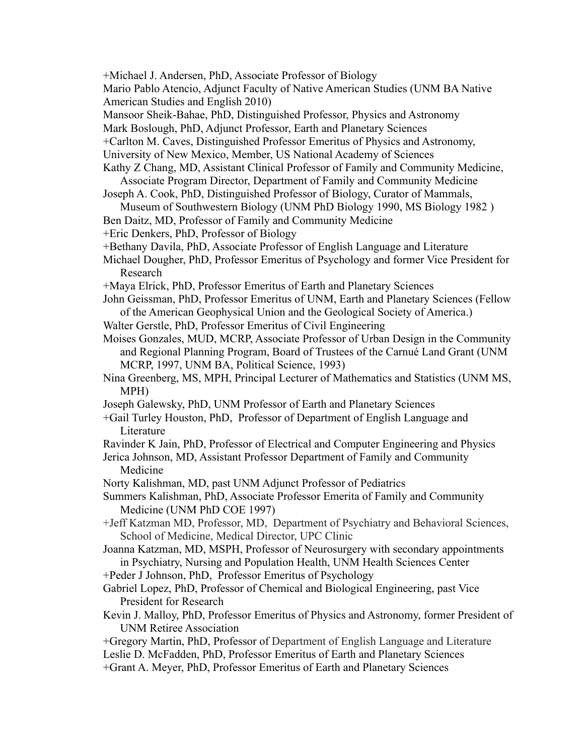- +Michael J. Andersen, PhD, Associate Professor of Biology
- Mario Pablo Atencio, Adjunct Faculty of Native American Studies (UNM BA Native American Studies and English 2010)
- Mansoor Sheik-Bahae, PhD, Distinguished Professor, Physics and Astronomy
- Mark Boslough, PhD, Adjunct Professor, Earth and Planetary Sciences
- +Carlton M. Caves, Distinguished Professor Emeritus of Physics and Astronomy,
- University of New Mexico, Member, US National Academy of Sciences
- Kathy Z Chang, MD, Assistant Clinical Professor of Family and Community Medicine, Associate Program Director, Department of Family and Community Medicine
- Joseph A. Cook, PhD, Distinguished Professor of Biology, Curator of Mammals,
- Museum of Southwestern Biology (UNM PhD Biology 1990, MS Biology 1982 )
- Ben Daitz, MD, Professor of Family and Community Medicine

+Eric Denkers, PhD, Professor of Biology

- +Bethany Davila, PhD, Associate Professor of English Language and Literature
- Michael Dougher, PhD, Professor Emeritus of Psychology and former Vice President for Research
- +Maya Elrick, PhD, Professor Emeritus of Earth and Planetary Sciences
- John Geissman, PhD, Professor Emeritus of UNM, Earth and Planetary Sciences (Fellow of the American Geophysical Union and the Geological Society of America.)
- Walter Gerstle, PhD, Professor Emeritus of Civil Engineering
- Moises Gonzales, MUD, MCRP, Associate Professor of Urban Design in the Community and Regional Planning Program, Board of Trustees of the Carnué Land Grant (UNM MCRP, 1997, UNM BA, Political Science, 1993)
- Nina Greenberg, MS, MPH, Principal Lecturer of Mathematics and Statistics (UNM MS, MPH)
- Joseph Galewsky, PhD, UNM Professor of Earth and Planetary Sciences
- +Gail Turley Houston, PhD, Professor of Department of English Language and Literature
- Ravinder K Jain, PhD, Professor of Electrical and Computer Engineering and Physics
- Jerica Johnson, MD, Assistant Professor Department of Family and Community Medicine
- Norty Kalishman, MD, past UNM Adjunct Professor of Pediatrics
- Summers Kalishman, PhD, Associate Professor Emerita of Family and Community Medicine (UNM PhD COE 1997)
- +Jeff Katzman MD, Professor, MD, Department of Psychiatry and Behavioral Sciences, School of Medicine, Medical Director, UPC Clinic
- Joanna Katzman, MD, MSPH, Professor of Neurosurgery with secondary appointments in Psychiatry, Nursing and Population Health, UNM Health Sciences Center

+Peder J Johnson, PhD, Professor Emeritus of Psychology

- Gabriel Lopez, PhD, Professor of Chemical and Biological Engineering, past Vice President for Research
- Kevin J. Malloy, PhD, Professor Emeritus of Physics and Astronomy, former President of UNM Retiree Association
- +Gregory Martin, PhD, Professor of Department of English Language and Literature
- Leslie D. McFadden, PhD, Professor Emeritus of Earth and Planetary Sciences
- +Grant A. Meyer, PhD, Professor Emeritus of Earth and Planetary Sciences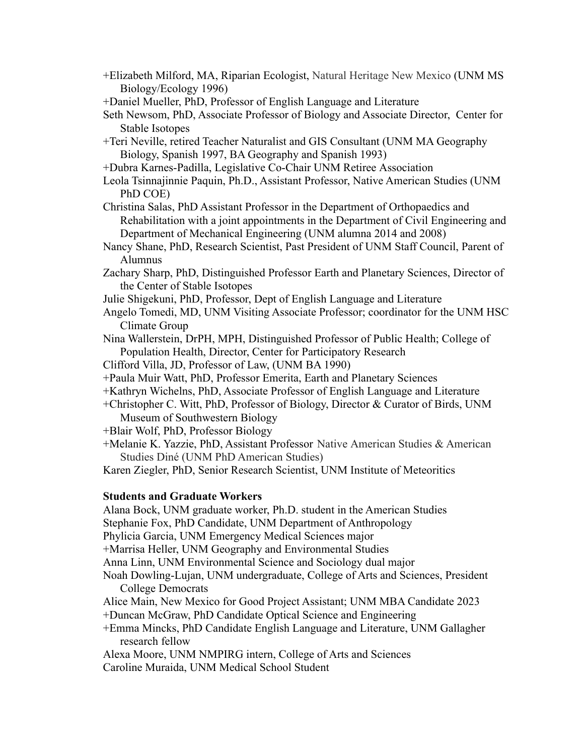+Elizabeth Milford, MA, Riparian Ecologist, Natural Heritage New Mexico (UNM MS Biology/Ecology 1996)

+Daniel Mueller, PhD, Professor of English Language and Literature

- Seth Newsom, PhD, Associate Professor of Biology and Associate Director, Center for Stable Isotopes
- +Teri Neville, retired Teacher Naturalist and GIS Consultant (UNM MA Geography Biology, Spanish 1997, BA Geography and Spanish 1993)
- +Dubra Karnes-Padilla, Legislative Co-Chair UNM Retiree Association
- Leola Tsinnajinnie Paquin, Ph.D., Assistant Professor, Native American Studies (UNM PhD COE)
- Christina Salas, PhD Assistant Professor in the Department of Orthopaedics and Rehabilitation with a joint appointments in the Department of Civil Engineering and Department of Mechanical Engineering (UNM alumna 2014 and 2008)
- Nancy Shane, PhD, Research Scientist, Past President of UNM Staff Council, Parent of Alumnus
- Zachary Sharp, PhD, Distinguished Professor Earth and Planetary Sciences, Director of the Center of Stable Isotopes
- Julie Shigekuni, PhD, Professor, Dept of English Language and Literature
- Angelo Tomedi, MD, UNM Visiting Associate Professor; coordinator for the UNM HSC Climate Group
- Nina Wallerstein, DrPH, MPH, Distinguished Professor of Public Health; College of Population Health, Director, Center for Participatory Research
- Clifford Villa, JD, Professor of Law, (UNM BA 1990)
- +Paula Muir Watt, PhD, Professor Emerita, Earth and Planetary Sciences
- +Kathryn Wichelns, PhD, Associate Professor of English Language and Literature
- +Christopher C. Witt, PhD, Professor of Biology, Director & Curator of Birds, UNM Museum of Southwestern Biology
- +Blair Wolf, PhD, Professor Biology
- +Melanie K. Yazzie, PhD, Assistant Professor Native American Studies & American Studies Diné (UNM PhD American Studies)

Karen Ziegler, PhD, Senior Research Scientist, UNM Institute of Meteoritics

#### **Students and Graduate Workers**

Alana Bock, UNM graduate worker, Ph.D. student in the American Studies Stephanie Fox, PhD Candidate, UNM Department of Anthropology Phylicia Garcia, UNM Emergency Medical Sciences major +Marrisa Heller, UNM Geography and Environmental Studies Anna Linn, UNM Environmental Science and Sociology dual major Noah Dowling-Lujan, UNM undergraduate, College of Arts and Sciences, President College Democrats Alice Main, New Mexico for Good Project Assistant; UNM MBA Candidate 2023 +Duncan McGraw, PhD Candidate Optical Science and Engineering +Emma Mincks, PhD Candidate English Language and Literature, UNM Gallagher research fellow Alexa Moore, UNM NMPIRG intern, College of Arts and Sciences Caroline Muraida, UNM Medical School Student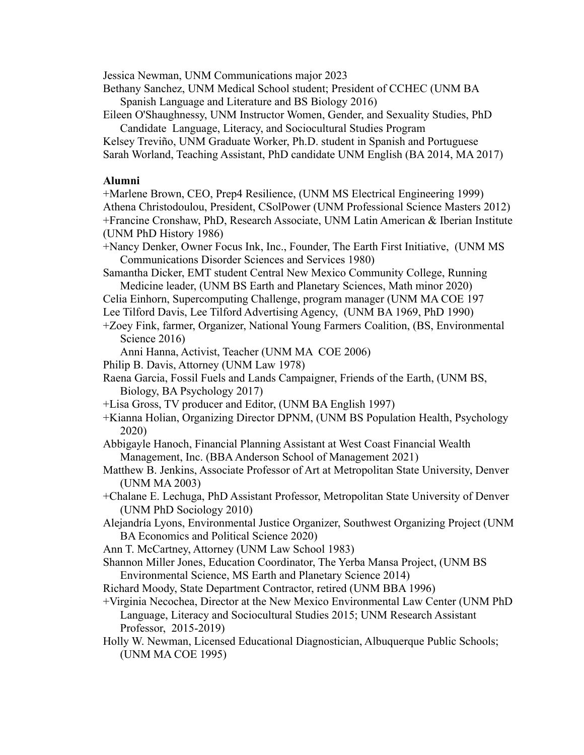Jessica Newman, UNM Communications major 2023

Bethany Sanchez, UNM Medical School student; President of CCHEC (UNM BA Spanish Language and Literature and BS Biology 2016)

Eileen O'Shaughnessy, UNM Instructor Women, Gender, and Sexuality Studies, PhD Candidate Language, Literacy, and Sociocultural Studies Program

Kelsey Treviño, UNM Graduate Worker, Ph.D. student in Spanish and Portuguese Sarah Worland, Teaching Assistant, PhD candidate UNM English (BA 2014, MA 2017)

#### **Alumni**

+Marlene Brown, CEO, Prep4 Resilience, (UNM MS Electrical Engineering 1999) Athena Christodoulou, President, CSolPower (UNM Professional Science Masters 2012) +Francine Cronshaw, PhD, Research Associate, UNM Latin American & Iberian Institute (UNM PhD History 1986)

+Nancy Denker, Owner Focus Ink, Inc., Founder, The Earth First Initiative, (UNM MS Communications Disorder Sciences and Services 1980)

Samantha Dicker, EMT student Central New Mexico Community College, Running Medicine leader, (UNM BS Earth and Planetary Sciences, Math minor 2020)

Celia Einhorn, Supercomputing Challenge, program manager (UNM MA COE 197

Lee Tilford Davis, Lee Tilford Advertising Agency, (UNM BA 1969, PhD 1990)

+Zoey Fink, farmer, Organizer, National Young Farmers Coalition, (BS, Environmental Science 2016)

Anni Hanna, Activist, Teacher (UNM MA COE 2006)

Philip B. Davis, Attorney (UNM Law 1978)

- Raena Garcia, Fossil Fuels and Lands Campaigner, Friends of the Earth, (UNM BS, Biology, BA Psychology 2017)
- +Lisa Gross, TV producer and Editor, (UNM BA English 1997)
- +Kianna Holian, Organizing Director DPNM, (UNM BS Population Health, Psychology 2020)
- Abbigayle Hanoch, Financial Planning Assistant at West Coast Financial Wealth Management, Inc. (BBA Anderson School of Management 2021)
- Matthew B. Jenkins, Associate Professor of Art at Metropolitan State University, Denver (UNM MA 2003)
- +Chalane E. Lechuga, PhD Assistant Professor, Metropolitan State University of Denver (UNM PhD Sociology 2010)
- Alejandría Lyons, Environmental Justice Organizer, Southwest Organizing Project (UNM BA Economics and Political Science 2020)
- Ann T. McCartney, Attorney (UNM Law School 1983)

Shannon Miller Jones, Education Coordinator, The Yerba Mansa Project, (UNM BS Environmental Science, MS Earth and Planetary Science 2014)

- Richard Moody, State Department Contractor, retired (UNM BBA 1996)
- +Virginia Necochea, Director at the New Mexico Environmental Law Center (UNM PhD Language, Literacy and Sociocultural Studies 2015; UNM Research Assistant Professor, 2015-2019)
- Holly W. Newman, Licensed Educational Diagnostician, Albuquerque Public Schools; (UNM MA COE 1995)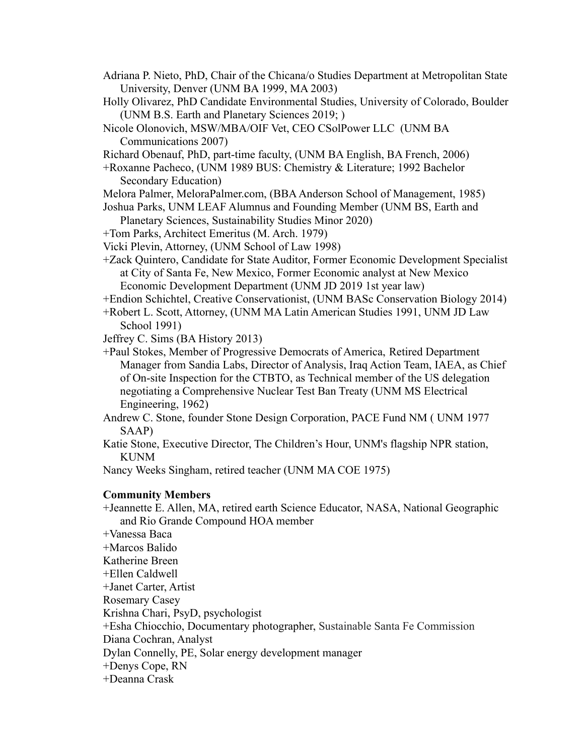- Adriana P. Nieto, PhD, Chair of the Chicana/o Studies Department at Metropolitan State University, Denver (UNM BA 1999, MA 2003)
- Holly Olivarez, PhD Candidate Environmental Studies, University of Colorado, Boulder (UNM B.S. Earth and Planetary Sciences 2019; )
- Nicole Olonovich, MSW/MBA/OIF Vet, CEO CSolPower LLC (UNM BA Communications 2007)
- Richard Obenauf, PhD, part-time faculty, (UNM BA English, BA French, 2006)
- +Roxanne Pacheco, (UNM 1989 BUS: Chemistry & Literature; 1992 Bachelor Secondary Education)
- Melora Palmer, MeloraPalmer.com, (BBAAnderson School of Management, 1985)
- Joshua Parks, UNM LEAF Alumnus and Founding Member (UNM BS, Earth and Planetary Sciences, Sustainability Studies Minor 2020)
- +Tom Parks, Architect Emeritus (M. Arch. 1979)
- Vicki Plevin, Attorney, (UNM School of Law 1998)
- +Zack Quintero, Candidate for State Auditor, Former Economic Development Specialist at City of Santa Fe, New Mexico, Former Economic analyst at New Mexico Economic Development Department (UNM JD 2019 1st year law)
- +Endion Schichtel, Creative Conservationist, (UNM BASc Conservation Biology 2014)
- +Robert L. Scott, Attorney, (UNM MA Latin American Studies 1991, UNM JD Law School 1991)
- Jeffrey C. Sims (BA History 2013)
- +Paul Stokes, Member of Progressive Democrats of America, Retired Department Manager from Sandia Labs, Director of Analysis, Iraq Action Team, IAEA, as Chief of On-site Inspection for the CTBTO, as Technical member of the US delegation negotiating a Comprehensive Nuclear Test Ban Treaty (UNM MS Electrical Engineering, 1962)
- Andrew C. Stone, founder Stone Design Corporation, PACE Fund NM ( UNM 1977 SAAP)
- Katie Stone, Executive Director, The Children's Hour, UNM's flagship NPR station, KUNM

Nancy Weeks Singham, retired teacher (UNM MA COE 1975)

## **Community Members**

- +Jeannette E. Allen, MA, retired earth Science Educator, NASA, National Geographic and Rio Grande Compound HOA member +Vanessa Baca +Marcos Balido Katherine Breen +Ellen Caldwell +Janet Carter, Artist Rosemary Casey Krishna Chari, PsyD, psychologist +Esha Chiocchio, Documentary photographer, Sustainable Santa Fe Commission Diana Cochran, Analyst Dylan Connelly, PE, Solar energy development manager
- +Denys Cope, RN
- +Deanna Crask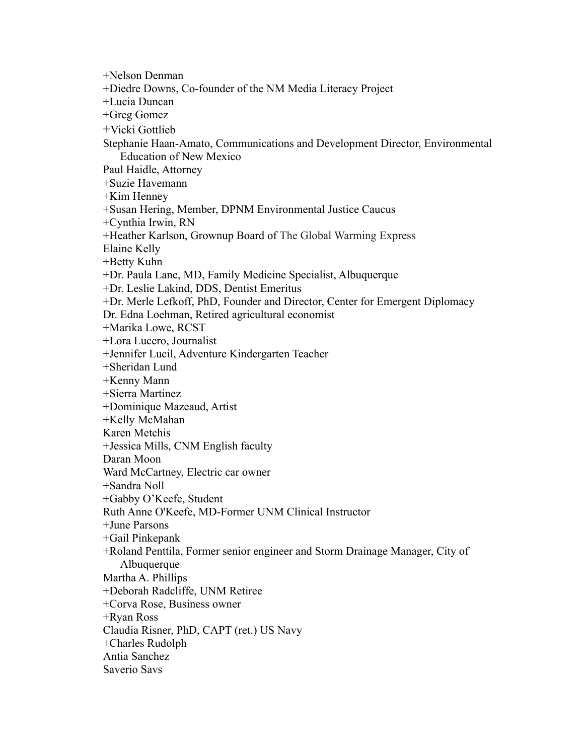+Nelson Denman +Diedre Downs, Co-founder of the NM Media Literacy Project +Lucia Duncan +Greg Gomez +Vicki Gottlieb Stephanie Haan-Amato, Communications and Development Director, Environmental Education of New Mexico Paul Haidle, Attorney +Suzie Havemann +Kim Henney +Susan Hering, Member, DPNM Environmental Justice Caucus +Cynthia Irwin, RN +Heather Karlson, Grownup Board of The Global Warming Express Elaine Kelly +Betty Kuhn +Dr. Paula Lane, MD, Family Medicine Specialist, Albuquerque +Dr. Leslie Lakind, DDS, Dentist Emeritus +Dr. Merle Lefkoff, PhD, Founder and Director, Center for Emergent Diplomacy Dr. Edna Loehman, Retired agricultural economist +Marika Lowe, RCST +Lora Lucero, Journalist +Jennifer Lucil, Adventure Kindergarten Teacher +Sheridan Lund +Kenny Mann +Sierra Martinez +Dominique Mazeaud, Artist +Kelly McMahan Karen Metchis +Jessica Mills, CNM English faculty Daran Moon Ward McCartney, Electric car owner +Sandra Noll +Gabby O'Keefe, Student Ruth Anne O'Keefe, MD-Former UNM Clinical Instructor +June Parsons +Gail Pinkepank +Roland Penttila, Former senior engineer and Storm Drainage Manager, City of Albuquerque Martha A. Phillips +Deborah Radcliffe, UNM Retiree +Corva Rose, Business owner +Ryan Ross Claudia Risner, PhD, CAPT (ret.) US Navy +Charles Rudolph Antia Sanchez Saverio Savs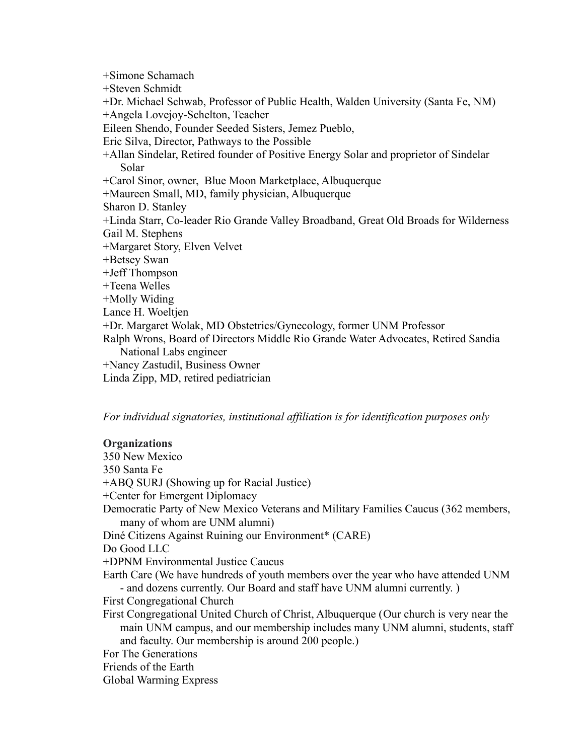+Simone Schamach +Steven Schmidt +Dr. Michael Schwab, Professor of Public Health, Walden University (Santa Fe, NM) +Angela Lovejoy-Schelton, Teacher Eileen Shendo, Founder Seeded Sisters, Jemez Pueblo, Eric Silva, Director, Pathways to the Possible +Allan Sindelar, Retired founder of Positive Energy Solar and proprietor of Sindelar Solar +Carol Sinor, owner, Blue Moon Marketplace, Albuquerque +Maureen Small, MD, family physician, Albuquerque Sharon D. Stanley +Linda Starr, Co-leader Rio Grande Valley Broadband, Great Old Broads for Wilderness Gail M. Stephens +Margaret Story, Elven Velvet +Betsey Swan +Jeff Thompson +Teena Welles +Molly Widing Lance H. Woeltjen +Dr. Margaret Wolak, MD Obstetrics/Gynecology, former UNM Professor Ralph Wrons, Board of Directors Middle Rio Grande Water Advocates, Retired Sandia National Labs engineer +Nancy Zastudil, Business Owner Linda Zipp, MD, retired pediatrician

*For individual signatories, institutional affiliation is for identification purposes only*

## **Organizations**

350 New Mexico 350 Santa Fe +ABQ SURJ (Showing up for Racial Justice) +Center for Emergent Diplomacy Democratic Party of New Mexico Veterans and Military Families Caucus (362 members, many of whom are UNM alumni) Diné Citizens Against Ruining our Environment\* (CARE) Do Good LLC +DPNM Environmental Justice Caucus Earth Care (We have hundreds of youth members over the year who have attended UNM - and dozens currently. Our Board and staff have UNM alumni currently. ) First Congregational Church First Congregational United Church of Christ, Albuquerque (Our church is very near the main UNM campus, and our membership includes many UNM alumni, students, staff and faculty. Our membership is around 200 people.) For The Generations Friends of the Earth Global Warming Express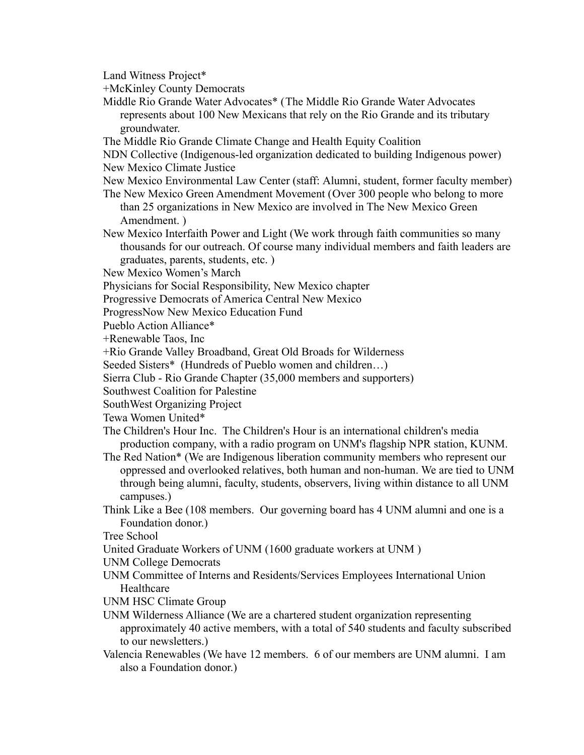Land Witness Project\*

+McKinley County Democrats

Middle Rio Grande Water Advocates\* (The Middle Rio Grande Water Advocates represents about 100 New Mexicans that rely on the Rio Grande and its tributary groundwater.

The Middle Rio Grande Climate Change and Health Equity Coalition

NDN Collective (Indigenous-led organization dedicated to building Indigenous power) New Mexico Climate Justice

New Mexico Environmental Law Center (staff: Alumni, student, former faculty member)

The New Mexico Green Amendment Movement (Over 300 people who belong to more than 25 organizations in New Mexico are involved in The New Mexico Green Amendment. )

New Mexico Interfaith Power and Light (We work through faith communities so many thousands for our outreach. Of course many individual members and faith leaders are graduates, parents, students, etc. )

New Mexico Women's March

Physicians for Social Responsibility, New Mexico chapter

Progressive Democrats of America Central New Mexico

ProgressNow New Mexico Education Fund

Pueblo Action Alliance\*

+Renewable Taos, Inc

+Rio Grande Valley Broadband, Great Old Broads for Wilderness

Seeded Sisters\* (Hundreds of Pueblo women and children…)

Sierra Club - Rio Grande Chapter (35,000 members and supporters)

Southwest Coalition for Palestine

SouthWest Organizing Project

Tewa Women United\*

The Children's Hour Inc. The Children's Hour is an international children's media production company, with a radio program on UNM's flagship NPR station, KUNM.

- The Red Nation\* (We are Indigenous liberation community members who represent our oppressed and overlooked relatives, both human and non-human. We are tied to UNM through being alumni, faculty, students, observers, living within distance to all UNM campuses.)
- Think Like a Bee (108 members. Our governing board has 4 UNM alumni and one is a Foundation donor.)

Tree School

United Graduate Workers of UNM (1600 graduate workers at UNM )

UNM College Democrats

- UNM Committee of Interns and Residents/Services Employees International Union Healthcare
- UNM HSC Climate Group
- UNM Wilderness Alliance (We are a chartered student organization representing approximately 40 active members, with a total of 540 students and faculty subscribed to our newsletters.)
- Valencia Renewables (We have 12 members. 6 of our members are UNM alumni. I am also a Foundation donor.)